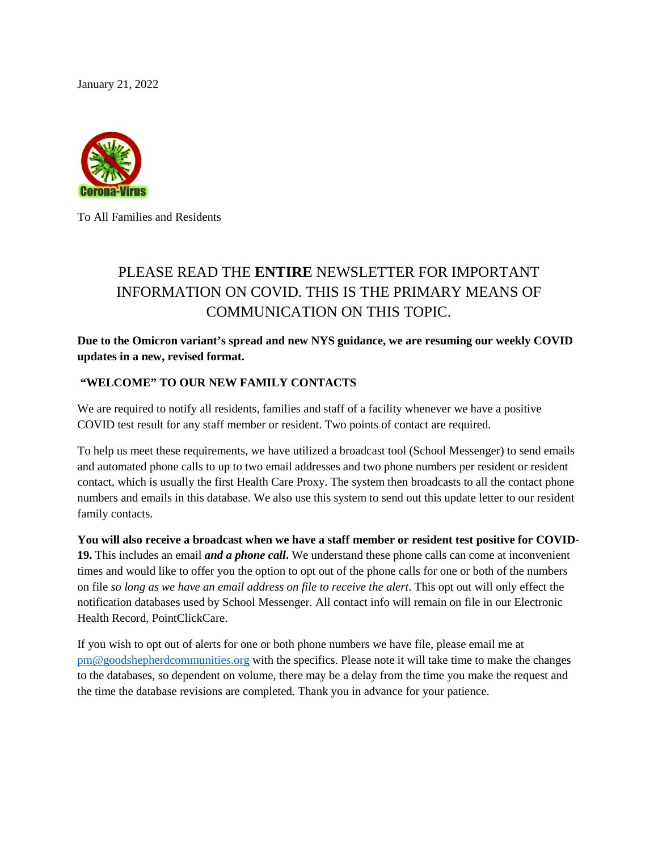January 21, 2022



To All Families and Residents

# PLEASE READ THE **ENTIRE** NEWSLETTER FOR IMPORTANT INFORMATION ON COVID. THIS IS THE PRIMARY MEANS OF COMMUNICATION ON THIS TOPIC.

**Due to the Omicron variant's spread and new NYS guidance, we are resuming our weekly COVID updates in a new, revised format.**

#### **"WELCOME" TO OUR NEW FAMILY CONTACTS**

We are required to notify all residents, families and staff of a facility whenever we have a positive COVID test result for any staff member or resident. Two points of contact are required.

To help us meet these requirements, we have utilized a broadcast tool (School Messenger) to send emails and automated phone calls to up to two email addresses and two phone numbers per resident or resident contact, which is usually the first Health Care Proxy. The system then broadcasts to all the contact phone numbers and emails in this database. We also use this system to send out this update letter to our resident family contacts.

**You will also receive a broadcast when we have a staff member or resident test positive for COVID-19.** This includes an email *and a phone call***.** We understand these phone calls can come at inconvenient times and would like to offer you the option to opt out of the phone calls for one or both of the numbers on file *so long as we have an email address on file to receive the alert*. This opt out will only effect the notification databases used by School Messenger. All contact info will remain on file in our Electronic Health Record, PointClickCare.

If you wish to opt out of alerts for one or both phone numbers we have file, please email me at [pm@goodshepherdcommunities.org](mailto:pm@goodshepherdcommunities.org) with the specifics. Please note it will take time to make the changes to the databases, so dependent on volume, there may be a delay from the time you make the request and the time the database revisions are completed. Thank you in advance for your patience.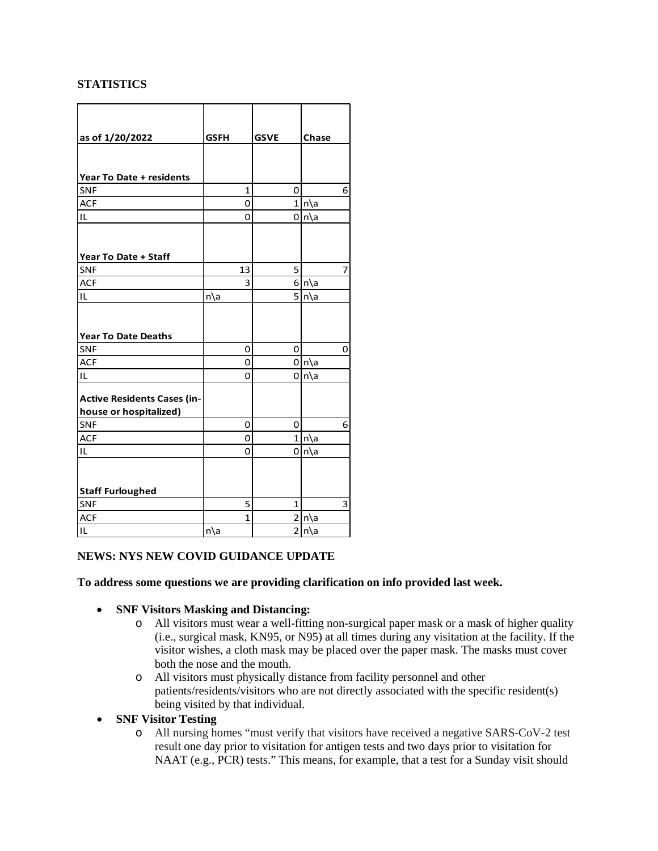# **STATISTICS**

| as of 1/20/2022                    | <b>GSFH</b>  | <b>GSVE</b>    | Chase          |
|------------------------------------|--------------|----------------|----------------|
|                                    |              |                |                |
|                                    |              |                |                |
| Year To Date + residents           |              |                |                |
| <b>SNF</b>                         | 1            | 0              | 6              |
| <b>ACF</b>                         | 0            |                | $1 n\rangle$ a |
| IL                                 | 0            | $\overline{0}$ | $n\$ a         |
|                                    |              |                |                |
|                                    |              |                |                |
| Year To Date + Staff               |              |                |                |
| <b>SNF</b>                         | 13           | 5              | 7              |
| <b>ACF</b>                         | 3            |                | $6 n\rangle$ a |
| IL.                                | n\a          |                | 5 n\a          |
|                                    |              |                |                |
|                                    |              |                |                |
| <b>Year To Date Deaths</b>         |              |                |                |
| <b>SNF</b>                         | 0            | 0              | 0              |
| <b>ACF</b>                         | 0            |                | $0 n\rangle$ a |
| IL                                 | 0            |                | $0 n\rangle$ a |
|                                    |              |                |                |
| <b>Active Residents Cases (in-</b> |              |                |                |
| house or hospitalized)             |              |                |                |
| <b>SNF</b>                         | 0            | 0              | 6              |
| <b>ACF</b>                         | 0            | $1\vert$       | n\a            |
| IL                                 | 0            |                | $0 n\rangle$ a |
|                                    |              |                |                |
|                                    |              |                |                |
| <b>Staff Furloughed</b>            |              |                |                |
| SNF                                | 5            | $\mathbf{1}$   | 3              |
| <b>ACF</b>                         | $\mathbf{1}$ | $\overline{2}$ | $n\$ a         |
| IL                                 | $n\$ a       | $\overline{2}$ | n\a            |

### **NEWS: NYS NEW COVID GUIDANCE UPDATE**

**To address some questions we are providing clarification on info provided last week.**

#### • **SNF Visitors Masking and Distancing:**

- o All visitors must wear a well-fitting non-surgical paper mask or a mask of higher quality (i.e., surgical mask, KN95, or N95) at all times during any visitation at the facility. If the visitor wishes, a cloth mask may be placed over the paper mask. The masks must cover both the nose and the mouth.
- o All visitors must physically distance from facility personnel and other patients/residents/visitors who are not directly associated with the specific resident(s) being visited by that individual.
- **SNF Visitor Testing**
	- o All nursing homes "must verify that visitors have received a negative SARS-CoV-2 test result one day prior to visitation for antigen tests and two days prior to visitation for NAAT (e.g., PCR) tests." This means, for example, that a test for a Sunday visit should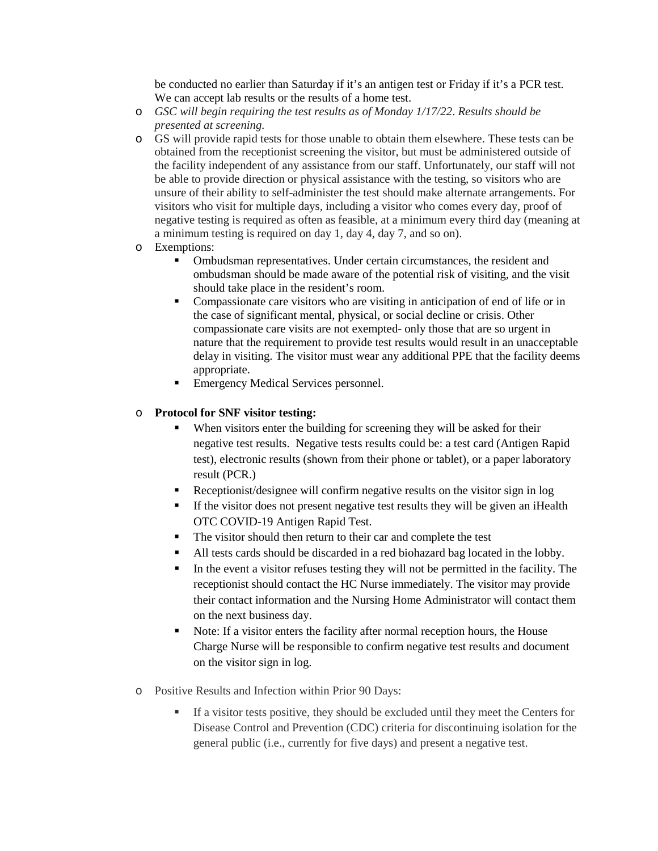be conducted no earlier than Saturday if it's an antigen test or Friday if it's a PCR test. We can accept lab results or the results of a home test.

- o *GSC will begin requiring the test results as of Monday 1/17/22*. *Results should be presented at screening.*
- o GS will provide rapid tests for those unable to obtain them elsewhere. These tests can be obtained from the receptionist screening the visitor, but must be administered outside of the facility independent of any assistance from our staff. Unfortunately, our staff will not be able to provide direction or physical assistance with the testing, so visitors who are unsure of their ability to self-administer the test should make alternate arrangements. For visitors who visit for multiple days, including a visitor who comes every day, proof of negative testing is required as often as feasible, at a minimum every third day (meaning at a minimum testing is required on day 1, day 4, day 7, and so on).
- o Exemptions:
	- Ombudsman representatives. Under certain circumstances, the resident and ombudsman should be made aware of the potential risk of visiting, and the visit should take place in the resident's room.
	- Compassionate care visitors who are visiting in anticipation of end of life or in the case of significant mental, physical, or social decline or crisis. Other compassionate care visits are not exempted- only those that are so urgent in nature that the requirement to provide test results would result in an unacceptable delay in visiting. The visitor must wear any additional PPE that the facility deems appropriate.
	- Emergency Medical Services personnel.

# o **Protocol for SNF visitor testing:**

- When visitors enter the building for screening they will be asked for their negative test results. Negative tests results could be: a test card (Antigen Rapid test), electronic results (shown from their phone or tablet), or a paper laboratory result (PCR.)
- Receptionist/designee will confirm negative results on the visitor sign in log
- If the visitor does not present negative test results they will be given an iHealth OTC COVID-19 Antigen Rapid Test.
- The visitor should then return to their car and complete the test
- All tests cards should be discarded in a red biohazard bag located in the lobby.
- In the event a visitor refuses testing they will not be permitted in the facility. The receptionist should contact the HC Nurse immediately. The visitor may provide their contact information and the Nursing Home Administrator will contact them on the next business day.
- Note: If a visitor enters the facility after normal reception hours, the House Charge Nurse will be responsible to confirm negative test results and document on the visitor sign in log.
- o Positive Results and Infection within Prior 90 Days:
	- If a visitor tests positive, they should be excluded until they meet the Centers for Disease Control and Prevention (CDC) criteria for discontinuing isolation for the general public (i.e., currently for five days) and present a negative test.